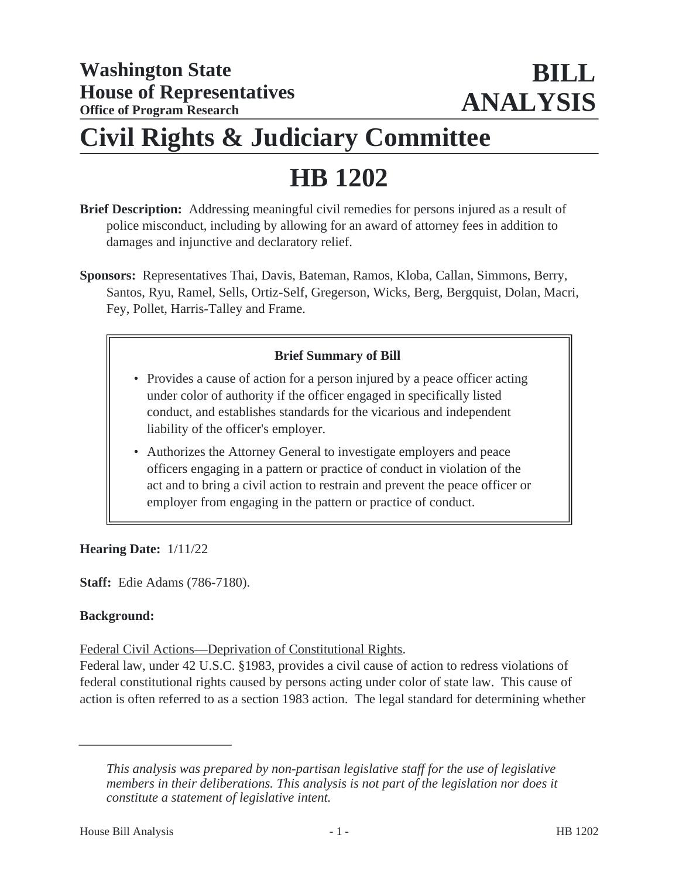## **Civil Rights & Judiciary Committee**

# **HB 1202**

- **Brief Description:** Addressing meaningful civil remedies for persons injured as a result of police misconduct, including by allowing for an award of attorney fees in addition to damages and injunctive and declaratory relief.
- **Sponsors:** Representatives Thai, Davis, Bateman, Ramos, Kloba, Callan, Simmons, Berry, Santos, Ryu, Ramel, Sells, Ortiz-Self, Gregerson, Wicks, Berg, Bergquist, Dolan, Macri, Fey, Pollet, Harris-Talley and Frame.

## **Brief Summary of Bill**

- Provides a cause of action for a person injured by a peace officer acting under color of authority if the officer engaged in specifically listed conduct, and establishes standards for the vicarious and independent liability of the officer's employer.
- Authorizes the Attorney General to investigate employers and peace officers engaging in a pattern or practice of conduct in violation of the act and to bring a civil action to restrain and prevent the peace officer or employer from engaging in the pattern or practice of conduct.

## **Hearing Date:** 1/11/22

**Staff:** Edie Adams (786-7180).

## **Background:**

Federal Civil Actions—Deprivation of Constitutional Rights.

Federal law, under 42 U.S.C. §1983, provides a civil cause of action to redress violations of federal constitutional rights caused by persons acting under color of state law. This cause of action is often referred to as a section 1983 action. The legal standard for determining whether

*This analysis was prepared by non-partisan legislative staff for the use of legislative members in their deliberations. This analysis is not part of the legislation nor does it constitute a statement of legislative intent.*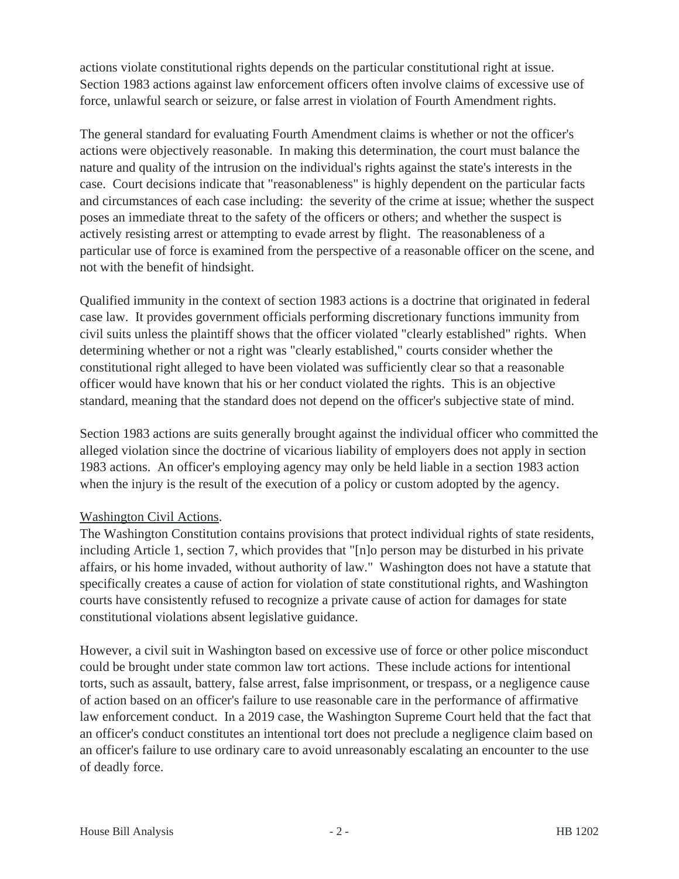actions violate constitutional rights depends on the particular constitutional right at issue. Section 1983 actions against law enforcement officers often involve claims of excessive use of force, unlawful search or seizure, or false arrest in violation of Fourth Amendment rights.

The general standard for evaluating Fourth Amendment claims is whether or not the officer's actions were objectively reasonable. In making this determination, the court must balance the nature and quality of the intrusion on the individual's rights against the state's interests in the case. Court decisions indicate that "reasonableness" is highly dependent on the particular facts and circumstances of each case including: the severity of the crime at issue; whether the suspect poses an immediate threat to the safety of the officers or others; and whether the suspect is actively resisting arrest or attempting to evade arrest by flight. The reasonableness of a particular use of force is examined from the perspective of a reasonable officer on the scene, and not with the benefit of hindsight.

Qualified immunity in the context of section 1983 actions is a doctrine that originated in federal case law. It provides government officials performing discretionary functions immunity from civil suits unless the plaintiff shows that the officer violated "clearly established" rights. When determining whether or not a right was "clearly established," courts consider whether the constitutional right alleged to have been violated was sufficiently clear so that a reasonable officer would have known that his or her conduct violated the rights. This is an objective standard, meaning that the standard does not depend on the officer's subjective state of mind.

Section 1983 actions are suits generally brought against the individual officer who committed the alleged violation since the doctrine of vicarious liability of employers does not apply in section 1983 actions. An officer's employing agency may only be held liable in a section 1983 action when the injury is the result of the execution of a policy or custom adopted by the agency.

## Washington Civil Actions.

The Washington Constitution contains provisions that protect individual rights of state residents, including Article 1, section 7, which provides that "[n]o person may be disturbed in his private affairs, or his home invaded, without authority of law." Washington does not have a statute that specifically creates a cause of action for violation of state constitutional rights, and Washington courts have consistently refused to recognize a private cause of action for damages for state constitutional violations absent legislative guidance.

However, a civil suit in Washington based on excessive use of force or other police misconduct could be brought under state common law tort actions. These include actions for intentional torts, such as assault, battery, false arrest, false imprisonment, or trespass, or a negligence cause of action based on an officer's failure to use reasonable care in the performance of affirmative law enforcement conduct. In a 2019 case, the Washington Supreme Court held that the fact that an officer's conduct constitutes an intentional tort does not preclude a negligence claim based on an officer's failure to use ordinary care to avoid unreasonably escalating an encounter to the use of deadly force.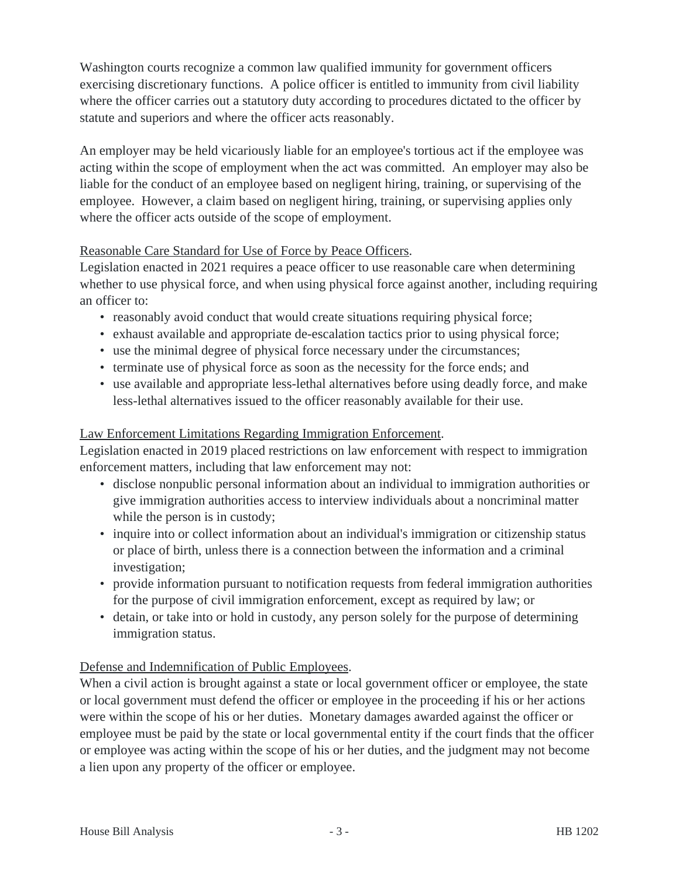Washington courts recognize a common law qualified immunity for government officers exercising discretionary functions. A police officer is entitled to immunity from civil liability where the officer carries out a statutory duty according to procedures dictated to the officer by statute and superiors and where the officer acts reasonably.

An employer may be held vicariously liable for an employee's tortious act if the employee was acting within the scope of employment when the act was committed. An employer may also be liable for the conduct of an employee based on negligent hiring, training, or supervising of the employee. However, a claim based on negligent hiring, training, or supervising applies only where the officer acts outside of the scope of employment.

## Reasonable Care Standard for Use of Force by Peace Officers.

Legislation enacted in 2021 requires a peace officer to use reasonable care when determining whether to use physical force, and when using physical force against another, including requiring an officer to:

- reasonably avoid conduct that would create situations requiring physical force;
- exhaust available and appropriate de-escalation tactics prior to using physical force;
- use the minimal degree of physical force necessary under the circumstances;
- terminate use of physical force as soon as the necessity for the force ends; and
- use available and appropriate less-lethal alternatives before using deadly force, and make less-lethal alternatives issued to the officer reasonably available for their use.

## Law Enforcement Limitations Regarding Immigration Enforcement.

Legislation enacted in 2019 placed restrictions on law enforcement with respect to immigration enforcement matters, including that law enforcement may not:

- disclose nonpublic personal information about an individual to immigration authorities or give immigration authorities access to interview individuals about a noncriminal matter while the person is in custody;
- inquire into or collect information about an individual's immigration or citizenship status or place of birth, unless there is a connection between the information and a criminal investigation;
- provide information pursuant to notification requests from federal immigration authorities for the purpose of civil immigration enforcement, except as required by law; or
- detain, or take into or hold in custody, any person solely for the purpose of determining immigration status.

## Defense and Indemnification of Public Employees.

When a civil action is brought against a state or local government officer or employee, the state or local government must defend the officer or employee in the proceeding if his or her actions were within the scope of his or her duties. Monetary damages awarded against the officer or employee must be paid by the state or local governmental entity if the court finds that the officer or employee was acting within the scope of his or her duties, and the judgment may not become a lien upon any property of the officer or employee.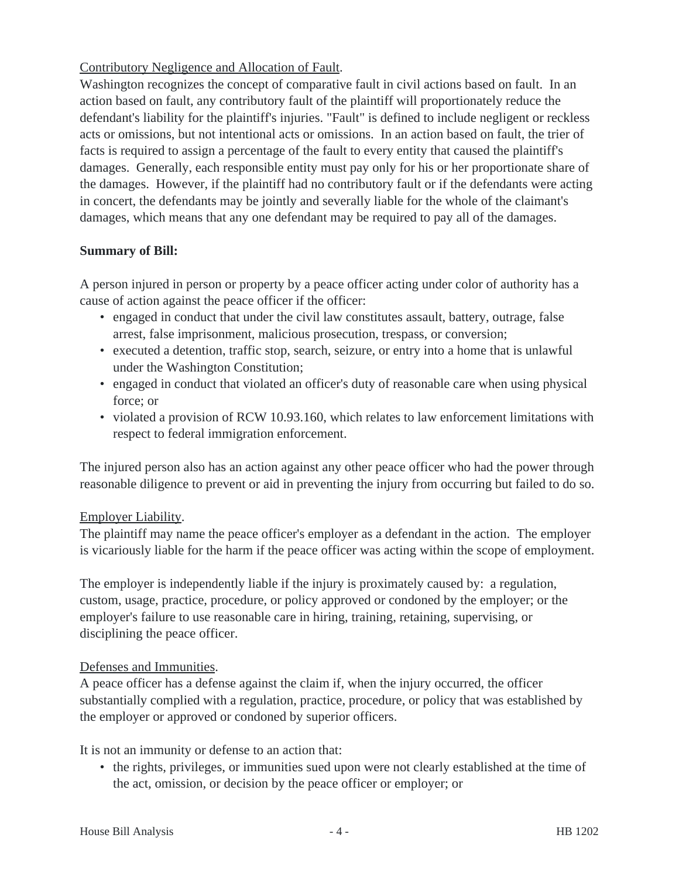## Contributory Negligence and Allocation of Fault.

Washington recognizes the concept of comparative fault in civil actions based on fault. In an action based on fault, any contributory fault of the plaintiff will proportionately reduce the defendant's liability for the plaintiff's injuries. "Fault" is defined to include negligent or reckless acts or omissions, but not intentional acts or omissions. In an action based on fault, the trier of facts is required to assign a percentage of the fault to every entity that caused the plaintiff's damages. Generally, each responsible entity must pay only for his or her proportionate share of the damages. However, if the plaintiff had no contributory fault or if the defendants were acting in concert, the defendants may be jointly and severally liable for the whole of the claimant's damages, which means that any one defendant may be required to pay all of the damages.

## **Summary of Bill:**

A person injured in person or property by a peace officer acting under color of authority has a cause of action against the peace officer if the officer:

- engaged in conduct that under the civil law constitutes assault, battery, outrage, false arrest, false imprisonment, malicious prosecution, trespass, or conversion;
- executed a detention, traffic stop, search, seizure, or entry into a home that is unlawful under the Washington Constitution;
- engaged in conduct that violated an officer's duty of reasonable care when using physical force; or
- violated a provision of RCW 10.93.160, which relates to law enforcement limitations with respect to federal immigration enforcement.

The injured person also has an action against any other peace officer who had the power through reasonable diligence to prevent or aid in preventing the injury from occurring but failed to do so.

## Employer Liability.

The plaintiff may name the peace officer's employer as a defendant in the action. The employer is vicariously liable for the harm if the peace officer was acting within the scope of employment.

The employer is independently liable if the injury is proximately caused by: a regulation, custom, usage, practice, procedure, or policy approved or condoned by the employer; or the employer's failure to use reasonable care in hiring, training, retaining, supervising, or disciplining the peace officer.

## Defenses and Immunities.

A peace officer has a defense against the claim if, when the injury occurred, the officer substantially complied with a regulation, practice, procedure, or policy that was established by the employer or approved or condoned by superior officers.

It is not an immunity or defense to an action that:

• the rights, privileges, or immunities sued upon were not clearly established at the time of the act, omission, or decision by the peace officer or employer; or